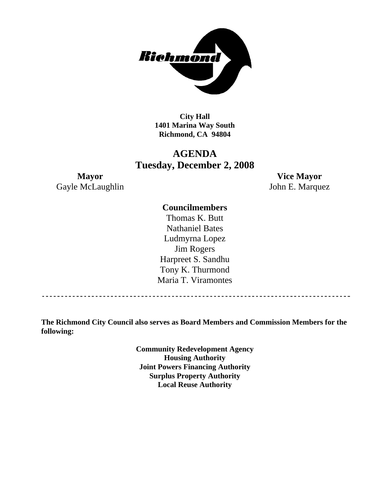

**City Hall 1401 Marina Way South Richmond, CA 94804** 

## **AGENDA Tuesday, December 2, 2008**

Gayle McLaughlin John E. Marquez

**Mayor Vice Mayor** 

#### **Councilmembers**

Thomas K. Butt Nathaniel Bates Ludmyrna Lopez Jim Rogers Harpreet S. Sandhu Tony K. Thurmond Maria T. Viramontes

**The Richmond City Council also serves as Board Members and Commission Members for the following:** 

> **Community Redevelopment Agency Housing Authority Joint Powers Financing Authority Surplus Property Authority Local Reuse Authority**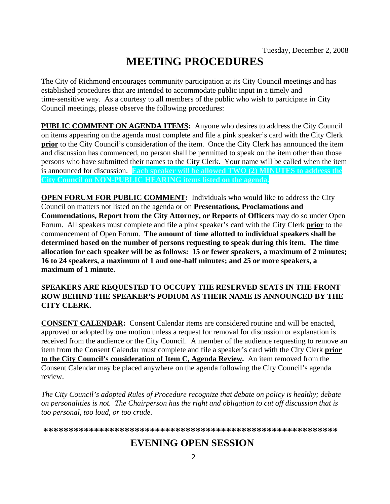# **MEETING PROCEDURES**

The City of Richmond encourages community participation at its City Council meetings and has established procedures that are intended to accommodate public input in a timely and time-sensitive way. As a courtesy to all members of the public who wish to participate in City Council meetings, please observe the following procedures:

**PUBLIC COMMENT ON AGENDA ITEMS:** Anyone who desires to address the City Council on items appearing on the agenda must complete and file a pink speaker's card with the City Clerk **prior** to the City Council's consideration of the item. Once the City Clerk has announced the item and discussion has commenced, no person shall be permitted to speak on the item other than those persons who have submitted their names to the City Clerk. Your name will be called when the item is announced for discussion. **Each speaker will be allowed TWO (2) MINUTES to address the City Council on NON-PUBLIC HEARING items listed on the agenda.** 

**OPEN FORUM FOR PUBLIC COMMENT:** Individuals who would like to address the City Council on matters not listed on the agenda or on **Presentations, Proclamations and Commendations, Report from the City Attorney, or Reports of Officers** may do so under Open Forum. All speakers must complete and file a pink speaker's card with the City Clerk **prior** to the commencement of Open Forum. **The amount of time allotted to individual speakers shall be determined based on the number of persons requesting to speak during this item. The time allocation for each speaker will be as follows: 15 or fewer speakers, a maximum of 2 minutes; 16 to 24 speakers, a maximum of 1 and one-half minutes; and 25 or more speakers, a maximum of 1 minute.** 

#### **SPEAKERS ARE REQUESTED TO OCCUPY THE RESERVED SEATS IN THE FRONT ROW BEHIND THE SPEAKER'S PODIUM AS THEIR NAME IS ANNOUNCED BY THE CITY CLERK.**

**CONSENT CALENDAR:** Consent Calendar items are considered routine and will be enacted, approved or adopted by one motion unless a request for removal for discussion or explanation is received from the audience or the City Council. A member of the audience requesting to remove an item from the Consent Calendar must complete and file a speaker's card with the City Clerk **prior to the City Council's consideration of Item C, Agenda Review.** An item removed from the Consent Calendar may be placed anywhere on the agenda following the City Council's agenda review.

*The City Council's adopted Rules of Procedure recognize that debate on policy is healthy; debate on personalities is not. The Chairperson has the right and obligation to cut off discussion that is too personal, too loud, or too crude.* 

**\*\*\*\*\*\*\*\*\*\*\*\*\*\*\*\*\*\*\*\*\*\*\*\*\*\*\*\*\*\*\*\*\*\*\*\*\*\*\*\*\*\*\*\*\*\*\*\*\*\*\*\*\*\*\*\*\*\***

# **EVENING OPEN SESSION**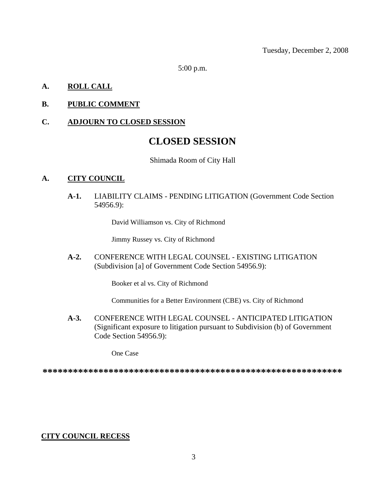Tuesday, December 2, 2008

5:00 p.m.

#### **A. ROLL CALL**

#### **B. PUBLIC COMMENT**

#### **C. ADJOURN TO CLOSED SESSION**

## **CLOSED SESSION**

#### Shimada Room of City Hall

#### **A. CITY COUNCIL**

**A-1.** LIABILITY CLAIMS - PENDING LITIGATION (Government Code Section 54956.9):

David Williamson vs. City of Richmond

Jimmy Russey vs. City of Richmond

**A-2.** CONFERENCE WITH LEGAL COUNSEL - EXISTING LITIGATION (Subdivision [a] of Government Code Section 54956.9):

Booker et al vs. City of Richmond

Communities for a Better Environment (CBE) vs. City of Richmond

**A-3.** CONFERENCE WITH LEGAL COUNSEL - ANTICIPATED LITIGATION (Significant exposure to litigation pursuant to Subdivision (b) of Government Code Section 54956.9):

One Case

**\*\*\*\*\*\*\*\*\*\*\*\*\*\*\*\*\*\*\*\*\*\*\*\*\*\*\*\*\*\*\*\*\*\*\*\*\*\*\*\*\*\*\*\*\*\*\*\*\*\*\*\*\*\*\*\*\*\*\***

#### **CITY COUNCIL RECESS**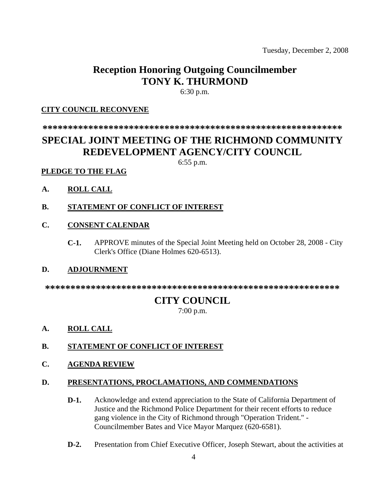Tuesday, December 2, 2008

# **Reception Honoring Outgoing Councilmember TONY K. THURMOND**

6:30 p.m.

#### **CITY COUNCIL RECONVENE**

**\*\*\*\*\*\*\*\*\*\*\*\*\*\*\*\*\*\*\*\*\*\*\*\*\*\*\*\*\*\*\*\*\*\*\*\*\*\*\*\*\*\*\*\*\*\*\*\*\*\*\*\*\*\*\*\*\*\*\***

# **SPECIAL JOINT MEETING OF THE RICHMOND COMMUNITY REDEVELOPMENT AGENCY/CITY COUNCIL**

6:55 p.m.

#### **PLEDGE TO THE FLAG**

- **A. ROLL CALL**
- **B. STATEMENT OF CONFLICT OF INTEREST**

#### **C. CONSENT CALENDAR**

**C-1.** APPROVE minutes of the Special Joint Meeting held on October 28, 2008 - City Clerk's Office (Diane Holmes 620-6513).

#### **D. ADJOURNMENT**

**\*\*\*\*\*\*\*\*\*\*\*\*\*\*\*\*\*\*\*\*\*\*\*\*\*\*\*\*\*\*\*\*\*\*\*\*\*\*\*\*\*\*\*\*\*\*\*\*\*\*\*\*\*\*\*\*\*\*** 

### **CITY COUNCIL**

7:00 p.m.

**A. ROLL CALL**

#### **B. STATEMENT OF CONFLICT OF INTEREST**

**C. AGENDA REVIEW**

#### **D. PRESENTATIONS, PROCLAMATIONS, AND COMMENDATIONS**

- **D-1.** Acknowledge and extend appreciation to the State of California Department of Justice and the Richmond Police Department for their recent efforts to reduce gang violence in the City of Richmond through "Operation Trident." - Councilmember Bates and Vice Mayor Marquez (620-6581).
- **D-2.** Presentation from Chief Executive Officer, Joseph Stewart, about the activities at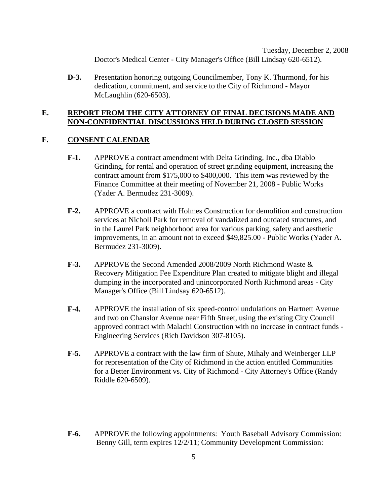Tuesday, December 2, 2008 Doctor's Medical Center - City Manager's Office (Bill Lindsay 620-6512).

**D-3.** Presentation honoring outgoing Councilmember, Tony K. Thurmond, for his dedication, commitment, and service to the City of Richmond - Mayor McLaughlin (620-6503).

#### **E. REPORT FROM THE CITY ATTORNEY OF FINAL DECISIONS MADE AND NON-CONFIDENTIAL DISCUSSIONS HELD DURING CLOSED SESSION**

#### **F. CONSENT CALENDAR**

- **F-1.** APPROVE a contract amendment with Delta Grinding, Inc., dba Diablo Grinding, for rental and operation of street grinding equipment, increasing the contract amount from \$175,000 to \$400,000. This item was reviewed by the Finance Committee at their meeting of November 21, 2008 - Public Works (Yader A. Bermudez 231-3009).
- **F-2.** APPROVE a contract with Holmes Construction for demolition and construction services at Nicholl Park for removal of vandalized and outdated structures, and in the Laurel Park neighborhood area for various parking, safety and aesthetic improvements, in an amount not to exceed \$49,825.00 - Public Works (Yader A. Bermudez 231-3009).
- **F-3.** APPROVE the Second Amended 2008/2009 North Richmond Waste & Recovery Mitigation Fee Expenditure Plan created to mitigate blight and illegal dumping in the incorporated and unincorporated North Richmond areas - City Manager's Office (Bill Lindsay 620-6512).
- **F-4.** APPROVE the installation of six speed-control undulations on Hartnett Avenue and two on Chanslor Avenue near Fifth Street, using the existing City Council approved contract with Malachi Construction with no increase in contract funds - Engineering Services (Rich Davidson 307-8105).
- **F-5.** APPROVE a contract with the law firm of Shute, Mihaly and Weinberger LLP for representation of the City of Richmond in the action entitled Communities for a Better Environment vs. City of Richmond - City Attorney's Office (Randy Riddle 620-6509).
- **F-6.** APPROVE the following appointments: Youth Baseball Advisory Commission: Benny Gill, term expires 12/2/11; Community Development Commission: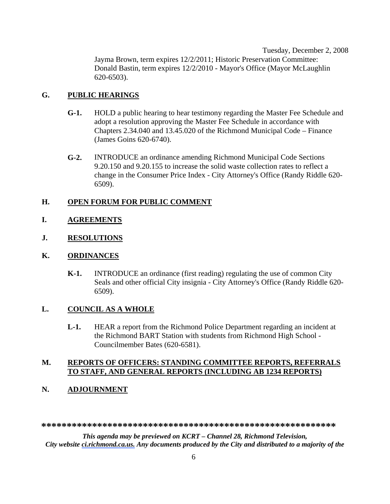Tuesday, December 2, 2008 Jayma Brown, term expires 12/2/2011; Historic Preservation Committee: Donald Bastin, term expires 12/2/2010 - Mayor's Office (Mayor McLaughlin 620-6503).

#### **G. PUBLIC HEARINGS**

- **G-1.** HOLD a public hearing to hear testimony regarding the Master Fee Schedule and adopt a resolution approving the Master Fee Schedule in accordance with Chapters 2.34.040 and 13.45.020 of the Richmond Municipal Code – Finance (James Goins 620-6740).
- **G-2.** INTRODUCE an ordinance amending Richmond Municipal Code Sections 9.20.150 and 9.20.155 to increase the solid waste collection rates to reflect a change in the Consumer Price Index - City Attorney's Office (Randy Riddle 620- 6509).

#### **H. OPEN FORUM FOR PUBLIC COMMENT**

- **I. AGREEMENTS**
- **J. RESOLUTIONS**

#### **K. ORDINANCES**

**K-1.** INTRODUCE an ordinance (first reading) regulating the use of common City Seals and other official City insignia - City Attorney's Office (Randy Riddle 620- 6509).

#### **L. COUNCIL AS A WHOLE**

**L-1.** HEAR a report from the Richmond Police Department regarding an incident at the Richmond BART Station with students from Richmond High School - Councilmember Bates (620-6581).

#### **M. REPORTS OF OFFICERS: STANDING COMMITTEE REPORTS, REFERRALS TO STAFF, AND GENERAL REPORTS (INCLUDING AB 1234 REPORTS)**

#### **N. ADJOURNMENT**

**\*\*\*\*\*\*\*\*\*\*\*\*\*\*\*\*\*\*\*\*\*\*\*\*\*\*\*\*\*\*\*\*\*\*\*\*\*\*\*\*\*\*\*\*\*\*\*\*\*\*\*\*\*\*\*\*\*\*** 

*This agenda may be previewed on KCRT – Channel 28, Richmond Television, City website ci.richmond.ca.us. Any documents produced by the City and distributed to a majority of the*